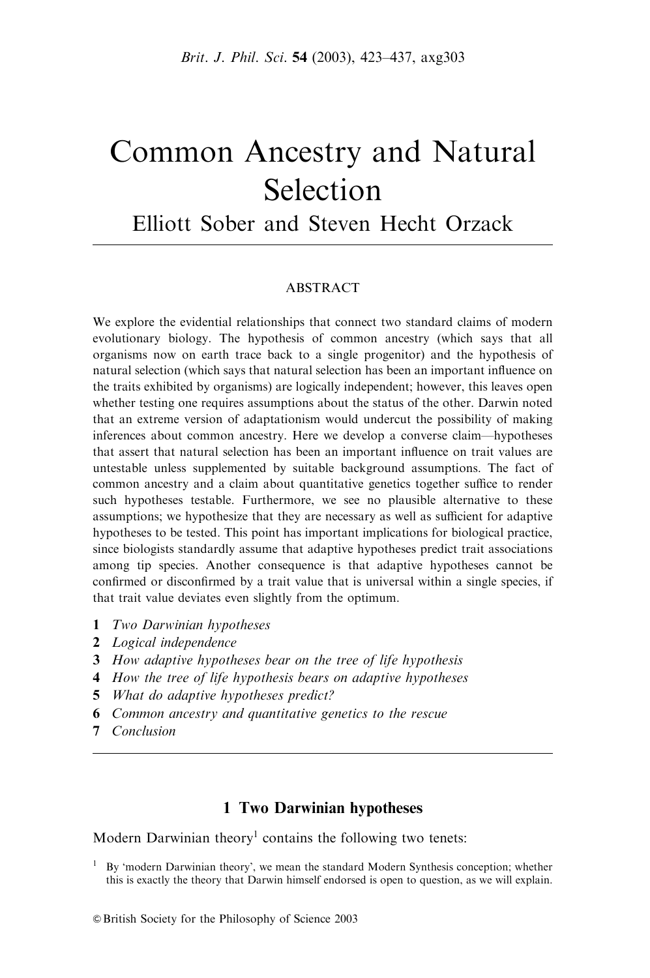# Common Ancestry and Natural Selection

# Elliott Sober and Steven Hecht Orzack

#### ABSTRACT

We explore the evidential relationships that connect two standard claims of modern evolutionary biology. The hypothesis of common ancestry (which says that all organisms now on earth trace back to a single progenitor) and the hypothesis of natural selection (which says that natural selection has been an important influence on the traits exhibited by organisms) are logically independent; however, this leaves open whether testing one requires assumptions about the status of the other. Darwin noted that an extreme version of adaptationism would undercut the possibility of making inferences about common ancestry. Here we develop a converse claim—hypotheses that assert that natural selection has been an important influence on trait values are untestable unless supplemented by suitable background assumptions. The fact of common ancestry and a claim about quantitative genetics together suffice to render such hypotheses testable. Furthermore, we see no plausible alternative to these assumptions; we hypothesize that they are necessary as well as sufficient for adaptive hypotheses to be tested. This point has important implications for biological practice, since biologists standardly assume that adaptive hypotheses predict trait associations among tip species. Another consequence is that adaptive hypotheses cannot be confirmed or disconfirmed by a trait value that is universal within a single species, if that trait value deviates even slightly from the optimum.

- 1 Two Darwinian hypotheses
- 2 Logical independence
- 3 How adaptive hypotheses bear on the tree of life hypothesis
- 4 How the tree of life hypothesis bears on adaptive hypotheses
- 5 What do adaptive hypotheses predict?
- 6 Common ancestry and quantitative genetics to the rescue
- 7 Conclusion

# 1 Two Darwinian hypotheses

Modern Darwinian theory<sup>1</sup> contains the following two tenets:

 $1$  By 'modern Darwinian theory', we mean the standard Modern Synthesis conception; whether this is exactly the theory that Darwin himself endorsed is open to question, as we will explain.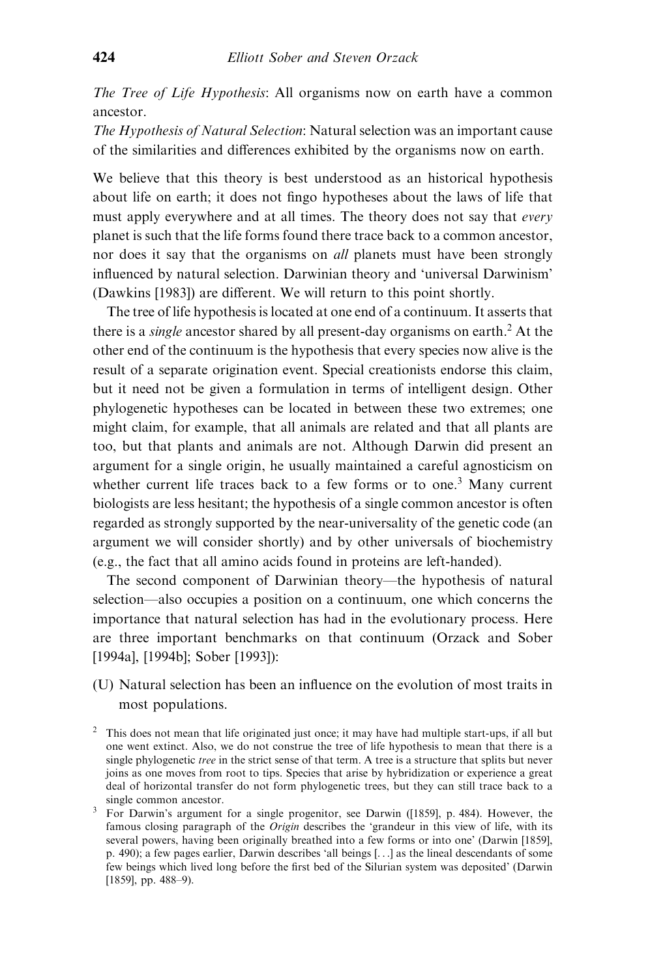The Tree of Life Hypothesis: All organisms now on earth have a common ancestor.

The Hypothesis of Natural Selection: Natural selection was an important cause of the similarities and differences exhibited by the organisms now on earth.

We believe that this theory is best understood as an historical hypothesis about life on earth; it does not fingo hypotheses about the laws of life that must apply everywhere and at all times. The theory does not say that *every* planet is such that the life forms found there trace back to a common ancestor, nor does it say that the organisms on *all* planets must have been strongly influenced by natural selection. Darwinian theory and 'universal Darwinism' (Dawkins [1983]) are different. We will return to this point shortly.

The tree of life hypothesis is located at one end of a continuum. It asserts that there is a *single* ancestor shared by all present-day organisms on earth.<sup>2</sup> At the other end of the continuum is the hypothesis that every species now alive is the result of a separate origination event. Special creationists endorse this claim, but it need not be given a formulation in terms of intelligent design. Other phylogenetic hypotheses can be located in between these two extremes; one might claim, for example, that all animals are related and that all plants are too, but that plants and animals are not. Although Darwin did present an argument for a single origin, he usually maintained a careful agnosticism on whether current life traces back to a few forms or to one.<sup>3</sup> Many current biologists are less hesitant; the hypothesis of a single common ancestor is often regarded as strongly supported by the near-universality of the genetic code (an argument we will consider shortly) and by other universals of biochemistry (e.g., the fact that all amino acids found in proteins are left-handed).

The second component of Darwinian theory—the hypothesis of natural selection—also occupies a position on a continuum, one which concerns the importance that natural selection has had in the evolutionary process. Here are three important benchmarks on that continuum (Orzack and Sober [1994a], [1994b]; Sober [1993]):

- (U) Natural selection has been an influence on the evolution of most traits in most populations.
- <sup>2</sup> This does not mean that life originated just once; it may have had multiple start-ups, if all but one went extinct. Also, we do not construe the tree of life hypothesis to mean that there is a single phylogenetic *tree* in the strict sense of that term. A tree is a structure that splits but never joins as one moves from root to tips. Species that arise by hybridization or experience a great deal of horizontal transfer do not form phylogenetic trees, but they can still trace back to a single common ancestor.
- <sup>3</sup> For Darwin's argument for a single progenitor, see Darwin ([1859], p. 484). However, the famous closing paragraph of the Origin describes the 'grandeur in this view of life, with its several powers, having been originally breathed into a few forms or into one' (Darwin [1859], p. 490); a few pages earlier, Darwin describes 'all beings [. . .] as the lineal descendants of some few beings which lived long before the first bed of the Silurian system was deposited' (Darwin [1859], pp. 488-9).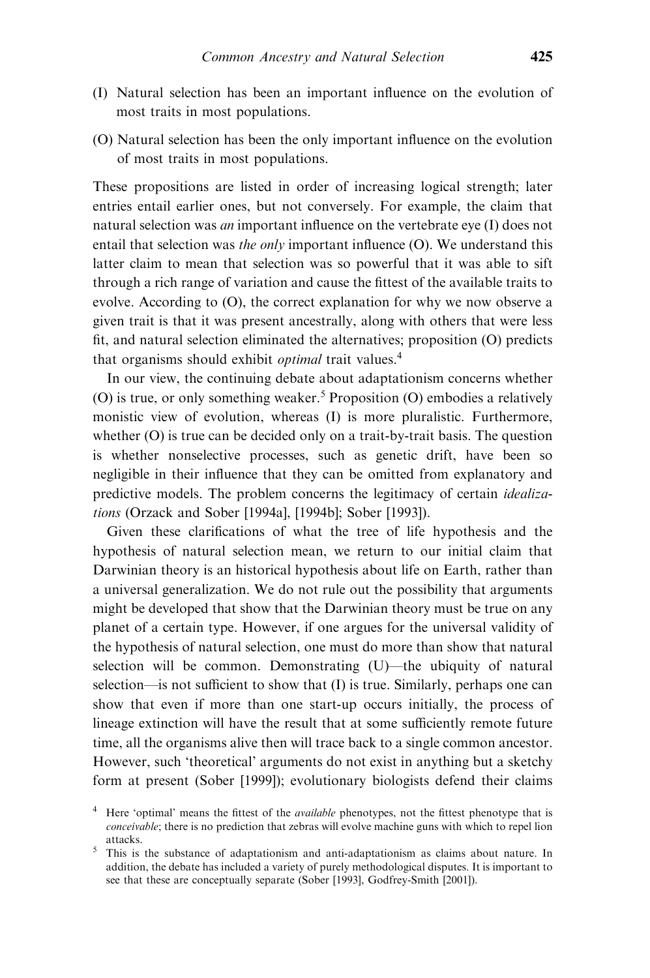- (I) Natural selection has been an important influence on the evolution of most traits in most populations.
- (O) Natural selection has been the only important influence on the evolution of most traits in most populations.

These propositions are listed in order of increasing logical strength; later entries entail earlier ones, but not conversely. For example, the claim that natural selection was *an* important influence on the vertebrate eye (I) does not entail that selection was *the only* important influence  $(O)$ . We understand this latter claim to mean that selection was so powerful that it was able to sift through a rich range of variation and cause the fittest of the available traits to evolve. According to (O), the correct explanation for why we now observe a given trait is that it was present ancestrally, along with others that were less fit, and natural selection eliminated the alternatives; proposition (O) predicts that organisms should exhibit *optimal* trait values.<sup>4</sup>

In our view, the continuing debate about adaptationism concerns whether (O) is true, or only something weaker.<sup>5</sup> Proposition (O) embodies a relatively monistic view of evolution, whereas (I) is more pluralistic. Furthermore, whether (O) is true can be decided only on a trait-by-trait basis. The question is whether nonselective processes, such as genetic drift, have been so negligible in their influence that they can be omitted from explanatory and predictive models. The problem concerns the legitimacy of certain *idealiza*tions (Orzack and Sober [1994a], [1994b]; Sober [1993]).

Given these clarifications of what the tree of life hypothesis and the hypothesis of natural selection mean, we return to our initial claim that Darwinian theory is an historical hypothesis about life on Earth, rather than a universal generalization. We do not rule out the possibility that arguments might be developed that show that the Darwinian theory must be true on any planet of a certain type. However, if one argues for the universal validity of the hypothesis of natural selection, one must do more than show that natural selection will be common. Demonstrating (U)—the ubiquity of natural selection—is not sufficient to show that (I) is true. Similarly, perhaps one can show that even if more than one start-up occurs initially, the process of lineage extinction will have the result that at some sufficiently remote future time, all the organisms alive then will trace back to a single common ancestor. However, such 'theoretical' arguments do not exist in anything but a sketchy form at present (Sober [1999]); evolutionary biologists defend their claims

<sup>&</sup>lt;sup>4</sup> Here 'optimal' means the fittest of the *available* phenotypes, not the fittest phenotype that is conceivable; there is no prediction that zebras will evolve machine guns with which to repel lion attacks.

<sup>5</sup> This is the substance of adaptationism and anti-adaptationism as claims about nature. In addition, the debate has included a variety of purely methodological disputes. It is important to see that these are conceptually separate (Sober [1993], Godfrey-Smith [2001]).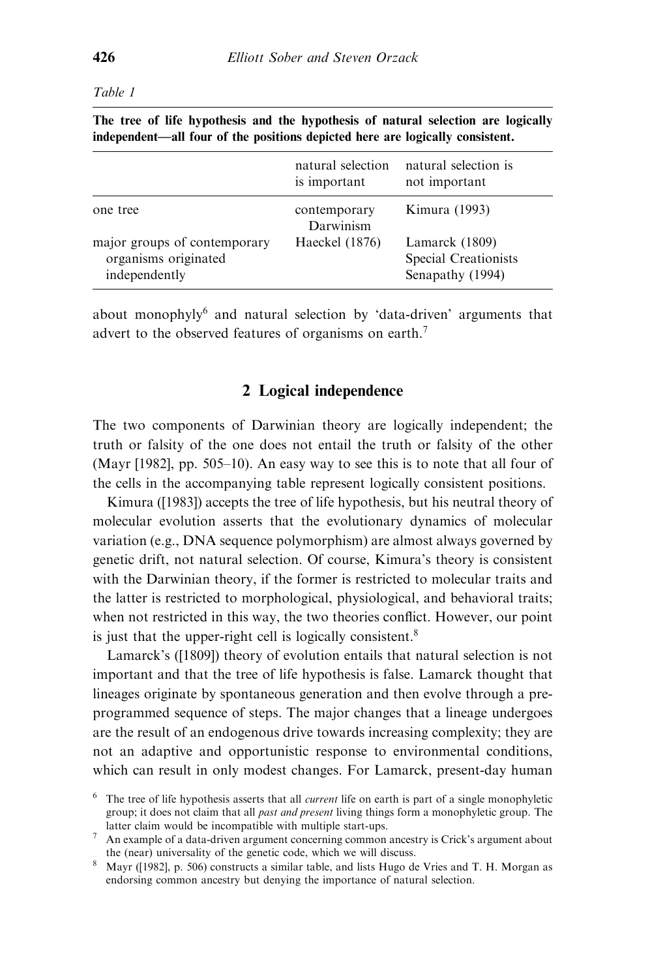|--|--|

|                                                                       | natural selection<br>is important | natural selection is<br>not important                        |
|-----------------------------------------------------------------------|-----------------------------------|--------------------------------------------------------------|
| one tree                                                              | contemporary<br>Darwinism         | Kimura (1993)                                                |
| major groups of contemporary<br>organisms originated<br>independently | Haeckel (1876)                    | Lamarck $(1809)$<br>Special Creationists<br>Senapathy (1994) |

The tree of life hypothesis and the hypothesis of natural selection are logically independent—all four of the positions depicted here are logically consistent.

about monophyly<sup>6</sup> and natural selection by 'data-driven' arguments that advert to the observed features of organisms on earth.<sup>7</sup>

# 2 Logical independence

The two components of Darwinian theory are logically independent; the truth or falsity of the one does not entail the truth or falsity of the other (Mayr [1982], pp. 505–10). An easy way to see this is to note that all four of the cells in the accompanying table represent logically consistent positions.

Kimura ([1983]) accepts the tree of life hypothesis, but his neutral theory of molecular evolution asserts that the evolutionary dynamics of molecular variation (e.g., DNA sequence polymorphism) are almost always governed by genetic drift, not natural selection. Of course, Kimura's theory is consistent with the Darwinian theory, if the former is restricted to molecular traits and the latter is restricted to morphological, physiological, and behavioral traits; when not restricted in this way, the two theories conflict. However, our point is just that the upper-right cell is logically consistent.<sup>8</sup>

Lamarck's ([1809]) theory of evolution entails that natural selection is not important and that the tree of life hypothesis is false. Lamarck thought that lineages originate by spontaneous generation and then evolve through a preprogrammed sequence of steps. The major changes that a lineage undergoes are the result of an endogenous drive towards increasing complexity; they are not an adaptive and opportunistic response to environmental conditions, which can result in only modest changes. For Lamarck, present-day human

<sup>&</sup>lt;sup>6</sup> The tree of life hypothesis asserts that all *current* life on earth is part of a single monophyletic group; it does not claim that all *past and present* living things form a monophyletic group. The latter claim would be incompatible with multiple start-ups.

<sup>7</sup> An example of a data-driven argument concerning common ancestry is Crick's argument about the (near) universality of the genetic code, which we will discuss.

<sup>8</sup> Mayr ([1982], p. 506) constructs a similar table, and lists Hugo de Vries and T. H. Morgan as endorsing common ancestry but denying the importance of natural selection.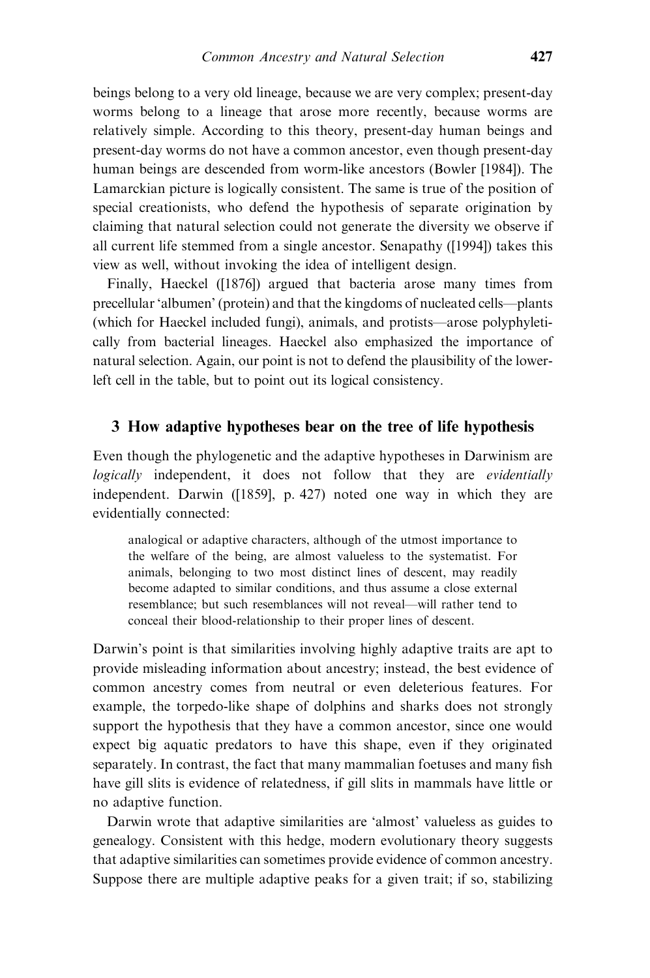beings belong to a very old lineage, because we are very complex; present-day worms belong to a lineage that arose more recently, because worms are relatively simple. According to this theory, present-day human beings and present-day worms do not have a common ancestor, even though present-day human beings are descended from worm-like ancestors (Bowler [1984]). The Lamarckian picture is logically consistent. The same is true of the position of special creationists, who defend the hypothesis of separate origination by claiming that natural selection could not generate the diversity we observe if all current life stemmed from a single ancestor. Senapathy ([1994]) takes this view as well, without invoking the idea of intelligent design.

Finally, Haeckel ([1876]) argued that bacteria arose many times from precellular 'albumen' (protein) and that the kingdoms of nucleated cells—plants (which for Haeckel included fungi), animals, and protists—arose polyphyletically from bacterial lineages. Haeckel also emphasized the importance of natural selection. Again, our point is not to defend the plausibility of the lowerleft cell in the table, but to point out its logical consistency.

#### 3 How adaptive hypotheses bear on the tree of life hypothesis

Even though the phylogenetic and the adaptive hypotheses in Darwinism are logically independent, it does not follow that they are *evidentially* independent. Darwin ([1859], p. 427) noted one way in which they are evidentially connected:

analogical or adaptive characters, although of the utmost importance to the welfare of the being, are almost valueless to the systematist. For animals, belonging to two most distinct lines of descent, may readily become adapted to similar conditions, and thus assume a close external resemblance; but such resemblances will not reveal—will rather tend to conceal their blood-relationship to their proper lines of descent.

Darwin's point is that similarities involving highly adaptive traits are apt to provide misleading information about ancestry; instead, the best evidence of common ancestry comes from neutral or even deleterious features. For example, the torpedo-like shape of dolphins and sharks does not strongly support the hypothesis that they have a common ancestor, since one would expect big aquatic predators to have this shape, even if they originated separately. In contrast, the fact that many mammalian foetuses and many fish have gill slits is evidence of relatedness, if gill slits in mammals have little or no adaptive function.

Darwin wrote that adaptive similarities are 'almost' valueless as guides to genealogy. Consistent with this hedge, modern evolutionary theory suggests that adaptive similarities can sometimes provide evidence of common ancestry. Suppose there are multiple adaptive peaks for a given trait; if so, stabilizing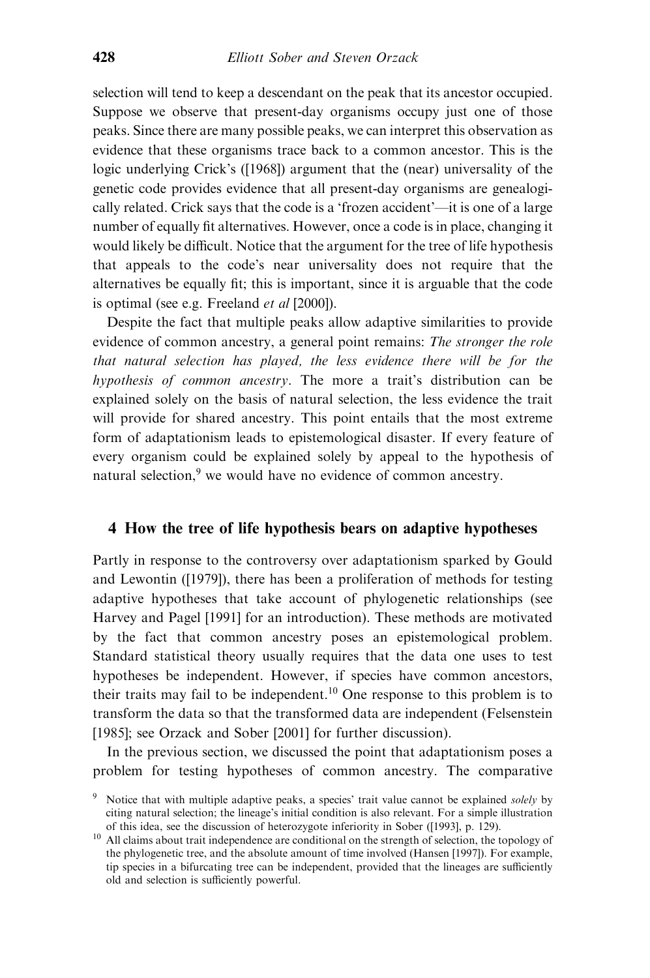selection will tend to keep a descendant on the peak that its ancestor occupied. Suppose we observe that present-day organisms occupy just one of those peaks. Since there are many possible peaks, we can interpret this observation as evidence that these organisms trace back to a common ancestor. This is the logic underlying Crick's ([1968]) argument that the (near) universality of the genetic code provides evidence that all present-day organisms are genealogically related. Crick says that the code is a 'frozen accident'—it is one of a large number of equally fit alternatives. However, once a code is in place, changing it would likely be difficult. Notice that the argument for the tree of life hypothesis that appeals to the code's near universality does not require that the alternatives be equally fit; this is important, since it is arguable that the code is optimal (see e.g. Freeland *et al* [2000]).

Despite the fact that multiple peaks allow adaptive similarities to provide evidence of common ancestry, a general point remains: The stronger the role that natural selection has played, the less evidence there will be for the hypothesis of common ancestry. The more a trait's distribution can be explained solely on the basis of natural selection, the less evidence the trait will provide for shared ancestry. This point entails that the most extreme form of adaptationism leads to epistemological disaster. If every feature of every organism could be explained solely by appeal to the hypothesis of natural selection,<sup>9</sup> we would have no evidence of common ancestry.

#### 4 How the tree of life hypothesis bears on adaptive hypotheses

Partly in response to the controversy over adaptationism sparked by Gould and Lewontin ([1979]), there has been a proliferation of methods for testing adaptive hypotheses that take account of phylogenetic relationships (see Harvey and Pagel [1991] for an introduction). These methods are motivated by the fact that common ancestry poses an epistemological problem. Standard statistical theory usually requires that the data one uses to test hypotheses be independent. However, if species have common ancestors, their traits may fail to be independent.<sup>10</sup> One response to this problem is to transform the data so that the transformed data are independent (Felsenstein [1985]; see Orzack and Sober [2001] for further discussion).

In the previous section, we discussed the point that adaptationism poses a problem for testing hypotheses of common ancestry. The comparative

Notice that with multiple adaptive peaks, a species' trait value cannot be explained solely by citing natural selection; the lineage's initial condition is also relevant. For a simple illustration of this idea, see the discussion of heterozygote inferiority in Sober ([1993], p. 129).

<sup>&</sup>lt;sup>10</sup> All claims about trait independence are conditional on the strength of selection, the topology of the phylogenetic tree, and the absolute amount of time involved (Hansen [1997]). For example, tip species in a bifurcating tree can be independent, provided that the lineages are sufficiently old and selection is sufficiently powerful.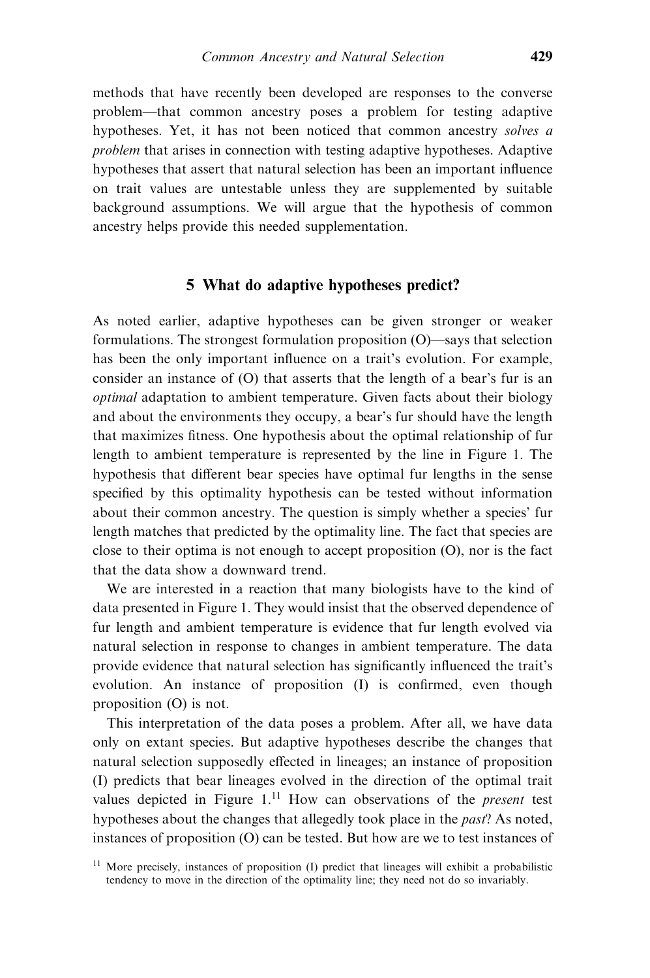methods that have recently been developed are responses to the converse problem—that common ancestry poses a problem for testing adaptive hypotheses. Yet, it has not been noticed that common ancestry solves a problem that arises in connection with testing adaptive hypotheses. Adaptive hypotheses that assert that natural selection has been an important influence on trait values are untestable unless they are supplemented by suitable background assumptions. We will argue that the hypothesis of common ancestry helps provide this needed supplementation.

#### 5 What do adaptive hypotheses predict?

As noted earlier, adaptive hypotheses can be given stronger or weaker formulations. The strongest formulation proposition (O)—says that selection has been the only important influence on a trait's evolution. For example, consider an instance of (O) that asserts that the length of a bear's fur is an optimal adaptation to ambient temperature. Given facts about their biology and about the environments they occupy, a bear's fur should have the length that maximizes fitness. One hypothesis about the optimal relationship of fur length to ambient temperature is represented by the line in Figure 1. The hypothesis that different bear species have optimal fur lengths in the sense specified by this optimality hypothesis can be tested without information about their common ancestry. The question is simply whether a species' fur length matches that predicted by the optimality line. The fact that species are close to their optima is not enough to accept proposition (O), nor is the fact that the data show a downward trend.

We are interested in a reaction that many biologists have to the kind of data presented in Figure 1. They would insist that the observed dependence of fur length and ambient temperature is evidence that fur length evolved via natural selection in response to changes in ambient temperature. The data provide evidence that natural selection has significantly influenced the trait's evolution. An instance of proposition (I) is confirmed, even though proposition (O) is not.

This interpretation of the data poses a problem. After all, we have data only on extant species. But adaptive hypotheses describe the changes that natural selection supposedly effected in lineages; an instance of proposition (I) predicts that bear lineages evolved in the direction of the optimal trait values depicted in Figure  $1<sup>11</sup>$  How can observations of the *present* test hypotheses about the changes that allegedly took place in the past? As noted, instances of proposition (O) can be tested. But how are we to test instances of

<sup>&</sup>lt;sup>11</sup> More precisely, instances of proposition (I) predict that lineages will exhibit a probabilistic tendency to move in the direction of the optimality line; they need not do so invariably.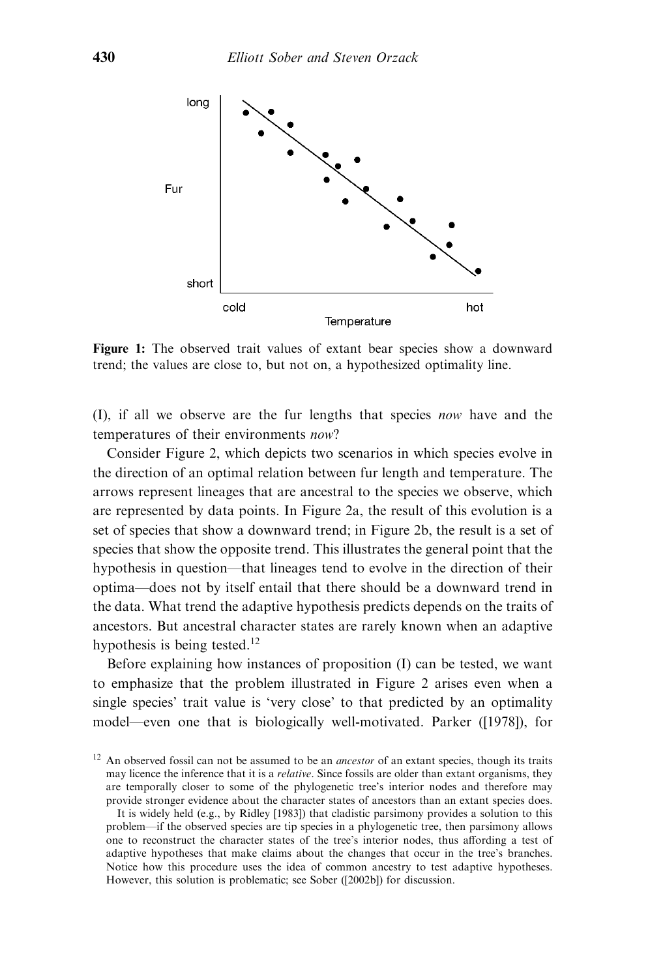

Figure 1: The observed trait values of extant bear species show a downward trend; the values are close to, but not on, a hypothesized optimality line.

(I), if all we observe are the fur lengths that species now have and the temperatures of their environments now?

Consider Figure 2, which depicts two scenarios in which species evolve in the direction of an optimal relation between fur length and temperature. The arrows represent lineages that are ancestral to the species we observe, which are represented by data points. In Figure 2a, the result of this evolution is a set of species that show a downward trend; in Figure 2b, the result is a set of species that show the opposite trend. This illustrates the general point that the hypothesis in question—that lineages tend to evolve in the direction of their optima—does not by itself entail that there should be a downward trend in the data. What trend the adaptive hypothesis predicts depends on the traits of ancestors. But ancestral character states are rarely known when an adaptive hypothesis is being tested.<sup>12</sup>

Before explaining how instances of proposition (I) can be tested, we want to emphasize that the problem illustrated in Figure 2 arises even when a single species' trait value is 'very close' to that predicted by an optimality model—even one that is biologically well-motivated. Parker ([1978]), for

 $12$  An observed fossil can not be assumed to be an *ancestor* of an extant species, though its traits may licence the inference that it is a *relative*. Since fossils are older than extant organisms, they are temporally closer to some of the phylogenetic tree's interior nodes and therefore may provide stronger evidence about the character states of ancestors than an extant species does.

It is widely held (e.g., by Ridley [1983]) that cladistic parsimony provides a solution to this problem—if the observed species are tip species in a phylogenetic tree, then parsimony allows one to reconstruct the character states of the tree's interior nodes, thus affording a test of adaptive hypotheses that make claims about the changes that occur in the tree's branches. Notice how this procedure uses the idea of common ancestry to test adaptive hypotheses. However, this solution is problematic; see Sober ([2002b]) for discussion.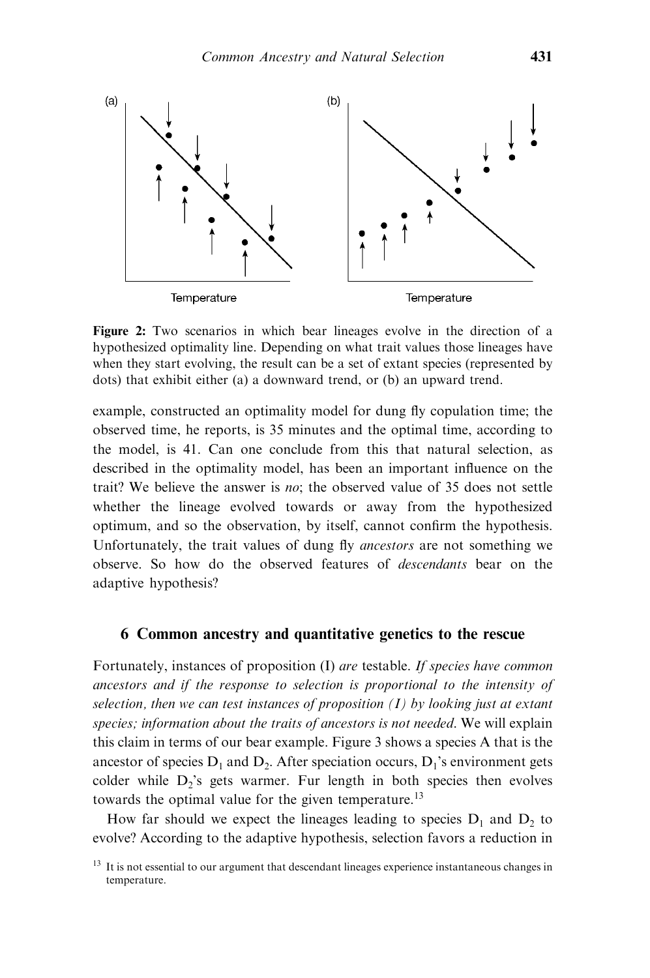

Figure 2: Two scenarios in which bear lineages evolve in the direction of a hypothesized optimality line. Depending on what trait values those lineages have when they start evolving, the result can be a set of extant species (represented by dots) that exhibit either (a) a downward trend, or (b) an upward trend.

example, constructed an optimality model for dung fly copulation time; the observed time, he reports, is 35 minutes and the optimal time, according to the model, is 41. Can one conclude from this that natural selection, as described in the optimality model, has been an important influence on the trait? We believe the answer is no; the observed value of 35 does not settle whether the lineage evolved towards or away from the hypothesized optimum, and so the observation, by itself, cannot confirm the hypothesis. Unfortunately, the trait values of dung fly ancestors are not something we observe. So how do the observed features of descendants bear on the adaptive hypothesis?

# 6 Common ancestry and quantitative genetics to the rescue

Fortunately, instances of proposition (I) are testable. If species have common ancestors and if the response to selection is proportional to the intensity of selection, then we can test instances of proposition  $(I)$  by looking just at extant species; information about the traits of ancestors is not needed. We will explain this claim in terms of our bear example. Figure 3 shows a species A that is the ancestor of species  $D_1$  and  $D_2$ . After speciation occurs,  $D_1$ 's environment gets colder while  $D_2$ 's gets warmer. Fur length in both species then evolves towards the optimal value for the given temperature.<sup>13</sup>

How far should we expect the lineages leading to species  $D_1$  and  $D_2$  to evolve? According to the adaptive hypothesis, selection favors a reduction in

<sup>&</sup>lt;sup>13</sup> It is not essential to our argument that descendant lineages experience instantaneous changes in temperature.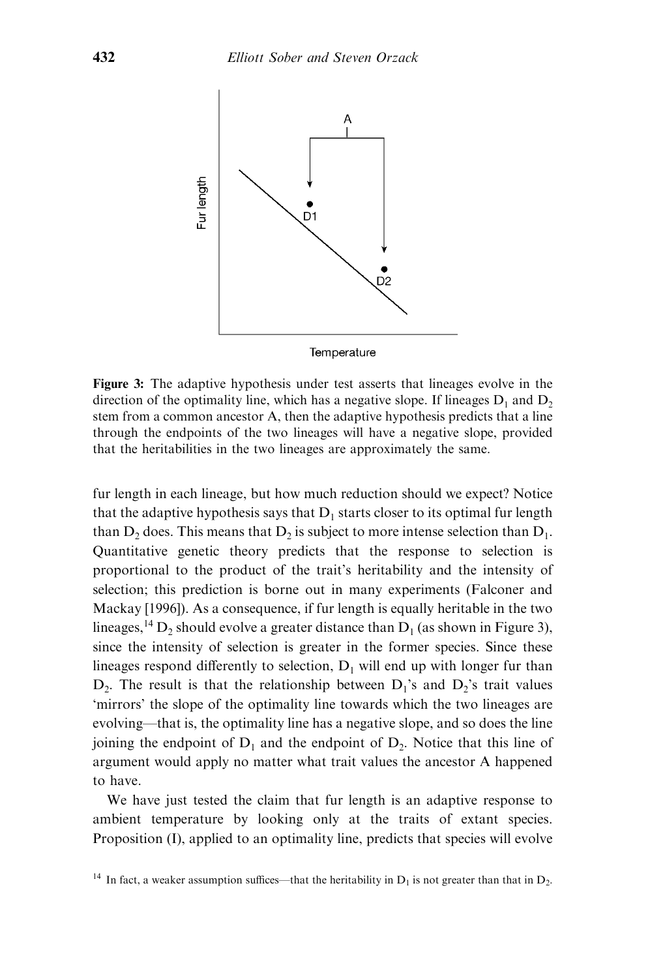

Temperature

Figure 3: The adaptive hypothesis under test asserts that lineages evolve in the direction of the optimality line, which has a negative slope. If lineages  $D_1$  and  $D_2$ stem from a common ancestor A, then the adaptive hypothesis predicts that a line through the endpoints of the two lineages will have a negative slope, provided that the heritabilities in the two lineages are approximately the same.

fur length in each lineage, but how much reduction should we expect? Notice that the adaptive hypothesis says that  $D_1$  starts closer to its optimal fur length than  $D_2$  does. This means that  $D_2$  is subject to more intense selection than  $D_1$ . Quantitative genetic theory predicts that the response to selection is proportional to the product of the trait's heritability and the intensity of selection; this prediction is borne out in many experiments (Falconer and Mackay [1996]). As a consequence, if fur length is equally heritable in the two lineages,<sup>14</sup> D<sub>2</sub> should evolve a greater distance than  $D_1$  (as shown in Figure 3), since the intensity of selection is greater in the former species. Since these lineages respond differently to selection,  $D_1$  will end up with longer fur than  $D_2$ . The result is that the relationship between  $D_1$ 's and  $D_2$ 's trait values 'mirrors' the slope of the optimality line towards which the two lineages are evolving—that is, the optimality line has a negative slope, and so does the line joining the endpoint of  $D_1$  and the endpoint of  $D_2$ . Notice that this line of argument would apply no matter what trait values the ancestor A happened to have.

We have just tested the claim that fur length is an adaptive response to ambient temperature by looking only at the traits of extant species. Proposition (I), applied to an optimality line, predicts that species will evolve

<sup>&</sup>lt;sup>14</sup> In fact, a weaker assumption suffices—that the heritability in  $D_1$  is not greater than that in  $D_2$ .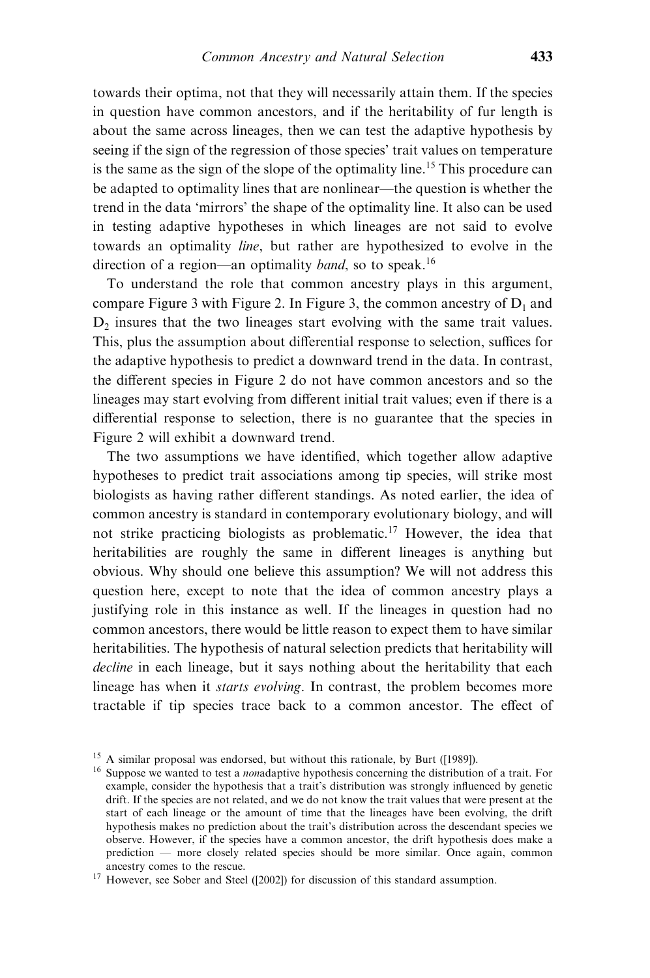towards their optima, not that they will necessarily attain them. If the species in question have common ancestors, and if the heritability of fur length is about the same across lineages, then we can test the adaptive hypothesis by seeing if the sign of the regression of those species' trait values on temperature is the same as the sign of the slope of the optimality line.<sup>15</sup> This procedure can be adapted to optimality lines that are nonlinear—the question is whether the trend in the data 'mirrors' the shape of the optimality line. It also can be used in testing adaptive hypotheses in which lineages are not said to evolve towards an optimality line, but rather are hypothesized to evolve in the direction of a region—an optimality band, so to speak.<sup>16</sup>

To understand the role that common ancestry plays in this argument, compare Figure 3 with Figure 2. In Figure 3, the common ancestry of  $D_1$  and  $D<sub>2</sub>$  insures that the two lineages start evolving with the same trait values. This, plus the assumption about differential response to selection, suffices for the adaptive hypothesis to predict a downward trend in the data. In contrast, the different species in Figure 2 do not have common ancestors and so the lineages may start evolving from different initial trait values; even if there is a differential response to selection, there is no guarantee that the species in Figure 2 will exhibit a downward trend.

The two assumptions we have identified, which together allow adaptive hypotheses to predict trait associations among tip species, will strike most biologists as having rather different standings. As noted earlier, the idea of common ancestry is standard in contemporary evolutionary biology, and will not strike practicing biologists as problematic.<sup>17</sup> However, the idea that heritabilities are roughly the same in different lineages is anything but obvious. Why should one believe this assumption? We will not address this question here, except to note that the idea of common ancestry plays a justifying role in this instance as well. If the lineages in question had no common ancestors, there would be little reason to expect them to have similar heritabilities. The hypothesis of natural selection predicts that heritability will decline in each lineage, but it says nothing about the heritability that each lineage has when it *starts evolving*. In contrast, the problem becomes more tractable if tip species trace back to a common ancestor. The effect of

<sup>15</sup> A similar proposal was endorsed, but without this rationale, by Burt ([1989]).

<sup>&</sup>lt;sup>16</sup> Suppose we wanted to test a nonadaptive hypothesis concerning the distribution of a trait. For example, consider the hypothesis that a trait's distribution was strongly influenced by genetic drift. If the species are not related, and we do not know the trait values that were present at the start of each lineage or the amount of time that the lineages have been evolving, the drift hypothesis makes no prediction about the trait's distribution across the descendant species we observe. However, if the species have a common ancestor, the drift hypothesis does make a prediction — more closely related species should be more similar. Once again, common ancestry comes to the rescue.

<sup>&</sup>lt;sup>17</sup> However, see Sober and Steel ([2002]) for discussion of this standard assumption.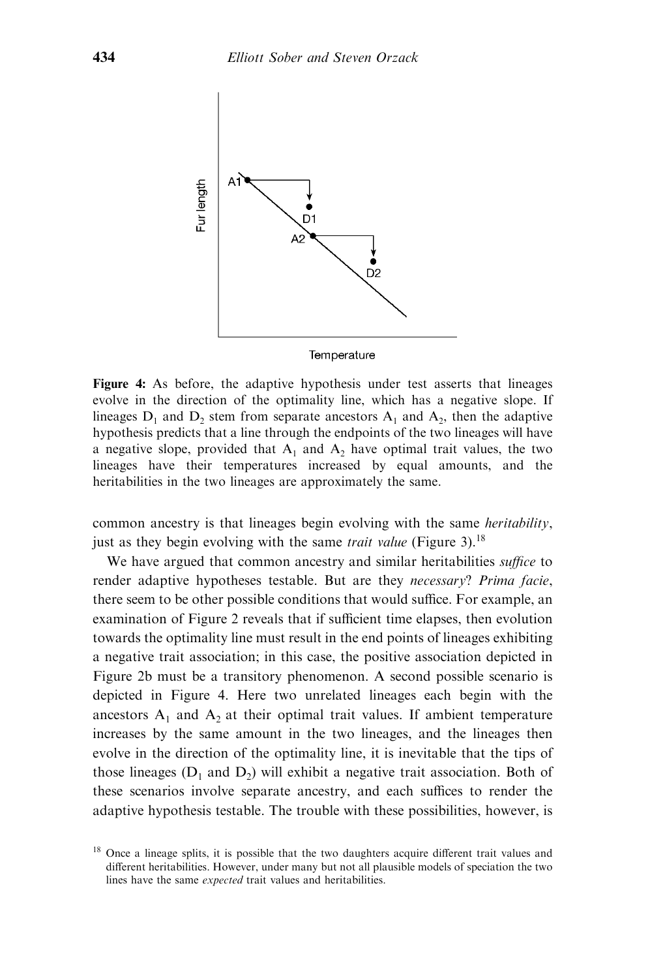

Temperature

Figure 4: As before, the adaptive hypothesis under test asserts that lineages evolve in the direction of the optimality line, which has a negative slope. If lineages  $D_1$  and  $D_2$  stem from separate ancestors  $A_1$  and  $A_2$ , then the adaptive hypothesis predicts that a line through the endpoints of the two lineages will have a negative slope, provided that  $A_1$  and  $A_2$  have optimal trait values, the two lineages have their temperatures increased by equal amounts, and the heritabilities in the two lineages are approximately the same.

common ancestry is that lineages begin evolving with the same heritability, just as they begin evolving with the same *trait value* (Figure 3).<sup>18</sup>

We have argued that common ancestry and similar heritabilities *suffice* to render adaptive hypotheses testable. But are they necessary? Prima facie, there seem to be other possible conditions that would suffice. For example, an examination of Figure 2 reveals that if sufficient time elapses, then evolution towards the optimality line must result in the end points of lineages exhibiting a negative trait association; in this case, the positive association depicted in Figure 2b must be a transitory phenomenon. A second possible scenario is depicted in Figure 4. Here two unrelated lineages each begin with the ancestors  $A_1$  and  $A_2$  at their optimal trait values. If ambient temperature increases by the same amount in the two lineages, and the lineages then evolve in the direction of the optimality line, it is inevitable that the tips of those lineages  $(D_1 \text{ and } D_2)$  will exhibit a negative trait association. Both of these scenarios involve separate ancestry, and each suffices to render the adaptive hypothesis testable. The trouble with these possibilities, however, is

<sup>&</sup>lt;sup>18</sup> Once a lineage splits, it is possible that the two daughters acquire different trait values and different heritabilities. However, under many but not all plausible models of speciation the two lines have the same expected trait values and heritabilities.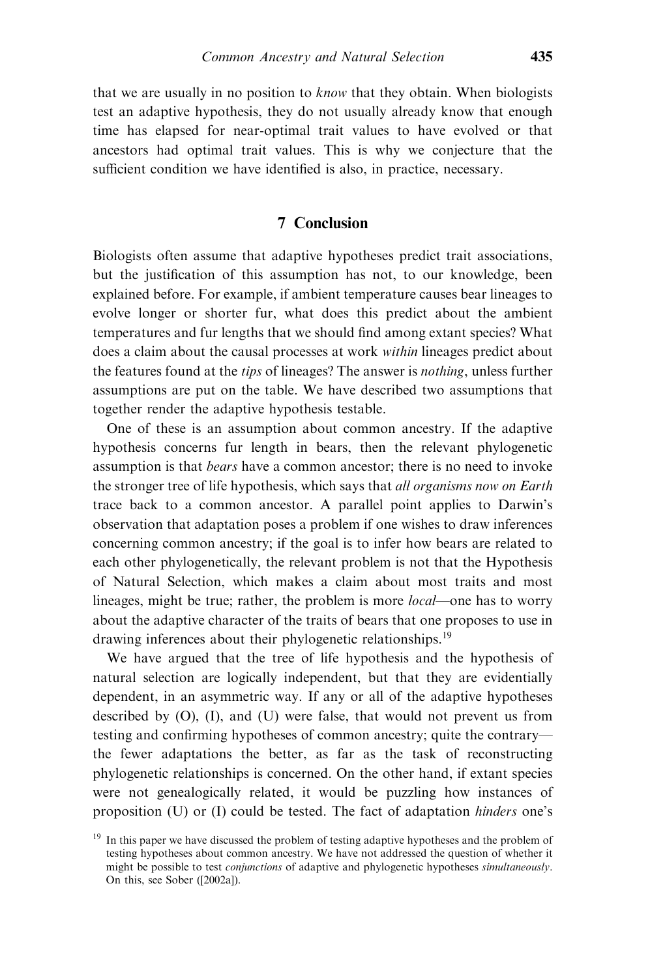that we are usually in no position to know that they obtain. When biologists test an adaptive hypothesis, they do not usually already know that enough time has elapsed for near-optimal trait values to have evolved or that ancestors had optimal trait values. This is why we conjecture that the sufficient condition we have identified is also, in practice, necessary.

### 7 Conclusion

Biologists often assume that adaptive hypotheses predict trait associations, but the justification of this assumption has not, to our knowledge, been explained before. For example, if ambient temperature causes bear lineages to evolve longer or shorter fur, what does this predict about the ambient temperatures and fur lengths that we should find among extant species? What does a claim about the causal processes at work within lineages predict about the features found at the tips of lineages? The answer is nothing, unless further assumptions are put on the table. We have described two assumptions that together render the adaptive hypothesis testable.

One of these is an assumption about common ancestry. If the adaptive hypothesis concerns fur length in bears, then the relevant phylogenetic assumption is that bears have a common ancestor; there is no need to invoke the stronger tree of life hypothesis, which says that *all organisms now on Earth* trace back to a common ancestor. A parallel point applies to Darwin's observation that adaptation poses a problem if one wishes to draw inferences concerning common ancestry; if the goal is to infer how bears are related to each other phylogenetically, the relevant problem is not that the Hypothesis of Natural Selection, which makes a claim about most traits and most lineages, might be true; rather, the problem is more *local*—one has to worry about the adaptive character of the traits of bears that one proposes to use in drawing inferences about their phylogenetic relationships.<sup>19</sup>

We have argued that the tree of life hypothesis and the hypothesis of natural selection are logically independent, but that they are evidentially dependent, in an asymmetric way. If any or all of the adaptive hypotheses described by (O), (I), and (U) were false, that would not prevent us from testing and confirming hypotheses of common ancestry; quite the contrary the fewer adaptations the better, as far as the task of reconstructing phylogenetic relationships is concerned. On the other hand, if extant species were not genealogically related, it would be puzzling how instances of proposition (U) or (I) could be tested. The fact of adaptation hinders one's

<sup>&</sup>lt;sup>19</sup> In this paper we have discussed the problem of testing adaptive hypotheses and the problem of testing hypotheses about common ancestry. We have not addressed the question of whether it might be possible to test *conjunctions* of adaptive and phylogenetic hypotheses *simultaneously*. On this, see Sober ([2002a]).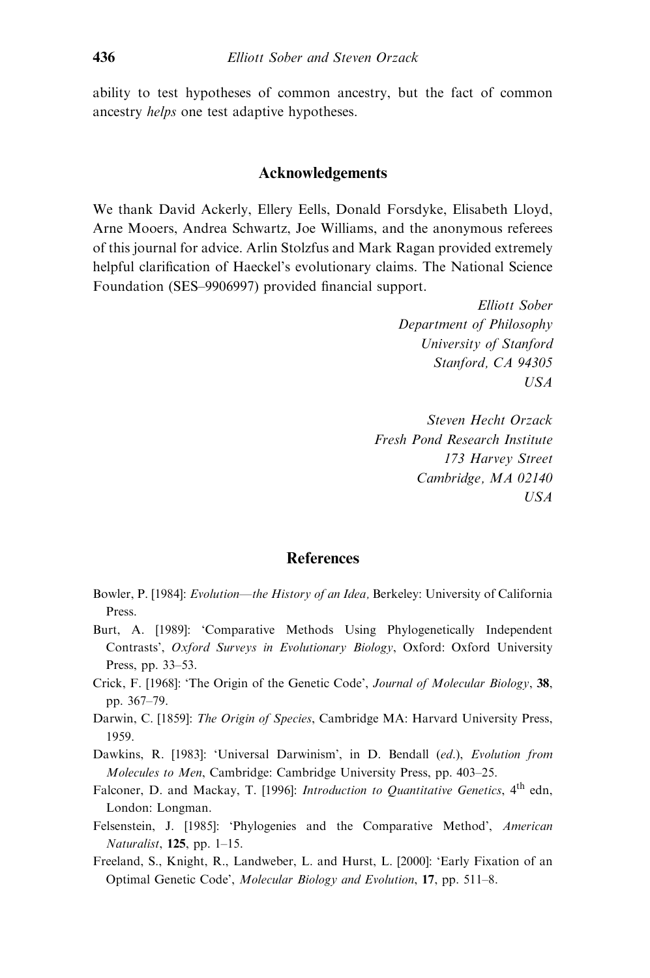ability to test hypotheses of common ancestry, but the fact of common ancestry helps one test adaptive hypotheses.

#### Acknowledgements

We thank David Ackerly, Ellery Eells, Donald Forsdyke, Elisabeth Lloyd, Arne Mooers, Andrea Schwartz, Joe Williams, and the anonymous referees of this journal for advice. Arlin Stolzfus and Mark Ragan provided extremely helpful clarification of Haeckel's evolutionary claims. The National Science Foundation (SES–9906997) provided financial support.

> Elliott Sober Department of Philosophy University of Stanford Stanford, CA 94305 USA

Steven Hecht Orzack Fresh Pond Research Institute 173 Harvey Street Cambridge, MA 02140 USA

#### **References**

- Bowler, P. [1984]: Evolution—the History of an Idea, Berkeley: University of California Press.
- Burt, A. [1989]: 'Comparative Methods Using Phylogenetically Independent Contrasts', Oxford Surveys in Evolutionary Biology, Oxford: Oxford University Press, pp. 33–53.
- Crick, F. [1968]: 'The Origin of the Genetic Code', Journal of Molecular Biology, 38, pp. 367–79.
- Darwin, C. [1859]: The Origin of Species, Cambridge MA: Harvard University Press, 1959.
- Dawkins, R. [1983]: 'Universal Darwinism', in D. Bendall (ed.), Evolution from Molecules to Men, Cambridge: Cambridge University Press, pp. 403–25.
- Falconer, D. and Mackay, T. [1996]: *Introduction to Quantitative Genetics*,  $4<sup>th</sup>$  edn, London: Longman.
- Felsenstein, J. [1985]: 'Phylogenies and the Comparative Method', American Naturalist, 125, pp. 1–15.
- Freeland, S., Knight, R., Landweber, L. and Hurst, L. [2000]: 'Early Fixation of an Optimal Genetic Code', Molecular Biology and Evolution, 17, pp. 511–8.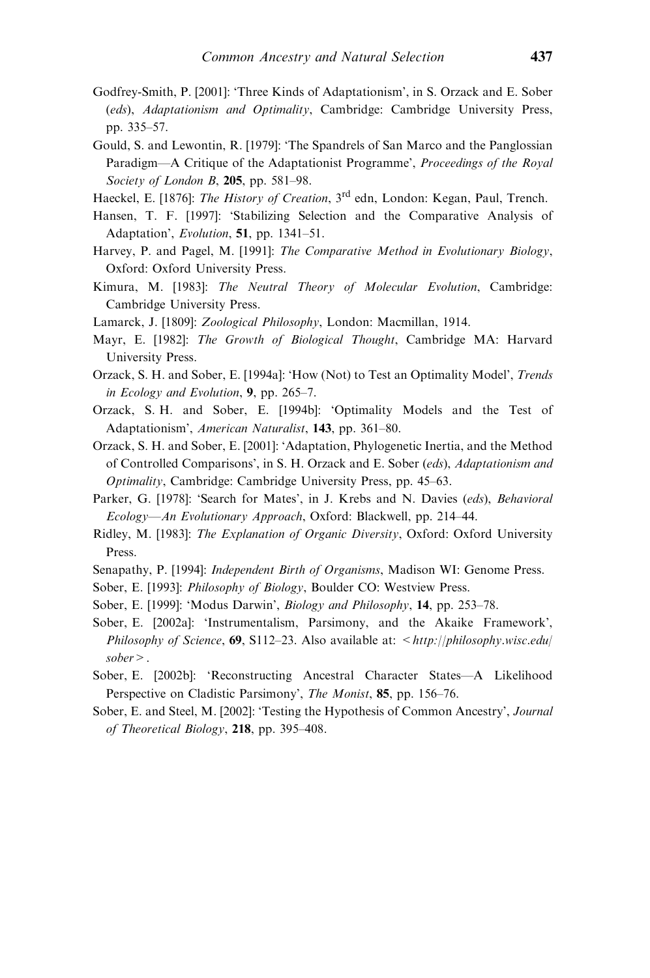- Godfrey-Smith, P. [2001]: 'Three Kinds of Adaptationism', in S. Orzack and E. Sober (eds), Adaptationism and Optimality, Cambridge: Cambridge University Press, pp. 335–57.
- Gould, S. and Lewontin, R. [1979]: 'The Spandrels of San Marco and the Panglossian Paradigm—A Critique of the Adaptationist Programme', Proceedings of the Royal Society of London B,  $205$ , pp. 581-98.
- Haeckel, E. [1876]: *The History of Creation*, 3<sup>rd</sup> edn, London: Kegan, Paul, Trench.
- Hansen, T. F. [1997]: 'Stabilizing Selection and the Comparative Analysis of Adaptation', Evolution, 51, pp. 1341-51.
- Harvey, P. and Pagel, M. [1991]: The Comparative Method in Evolutionary Biology, Oxford: Oxford University Press.
- Kimura, M. [1983]: The Neutral Theory of Molecular Evolution, Cambridge: Cambridge University Press.
- Lamarck, J. [1809]: Zoological Philosophy, London: Macmillan, 1914.
- Mayr, E. [1982]: The Growth of Biological Thought, Cambridge MA: Harvard University Press.
- Orzack, S. H. and Sober, E. [1994a]: 'How (Not) to Test an Optimality Model', Trends in Ecology and Evolution, 9, pp. 265–7.
- Orzack, S. H. and Sober, E. [1994b]: 'Optimality Models and the Test of Adaptationism', American Naturalist, 143, pp. 361–80.
- Orzack, S. H. and Sober, E. [2001]: 'Adaptation, Phylogenetic Inertia, and the Method of Controlled Comparisons', in S. H. Orzack and E. Sober (eds), Adaptationism and Optimality, Cambridge: Cambridge University Press, pp. 45–63.
- Parker, G. [1978]: 'Search for Mates', in J. Krebs and N. Davies (eds), Behavioral Ecology—An Evolutionary Approach, Oxford: Blackwell, pp. 214–44.
- Ridley, M. [1983]: The Explanation of Organic Diversity, Oxford: Oxford University Press.
- Senapathy, P. [1994]: Independent Birth of Organisms, Madison WI: Genome Press.
- Sober, E. [1993]: Philosophy of Biology, Boulder CO: Westview Press.
- Sober, E. [1999]: 'Modus Darwin', Biology and Philosophy, 14, pp. 253–78.
- Sober, E. [2002a]: 'Instrumentalism, Parsimony, and the Akaike Framework', Philosophy of Science, 69, S112-23. Also available at:  $\langle h(t) \rangle$ hilosophy.wisc.edu/ sober>.
- Sober, E. [2002b]: 'Reconstructing Ancestral Character States—A Likelihood Perspective on Cladistic Parsimony', *The Monist*, 85, pp. 156–76.
- Sober, E. and Steel, M. [2002]: 'Testing the Hypothesis of Common Ancestry', Journal of Theoretical Biology, 218, pp. 395–408.